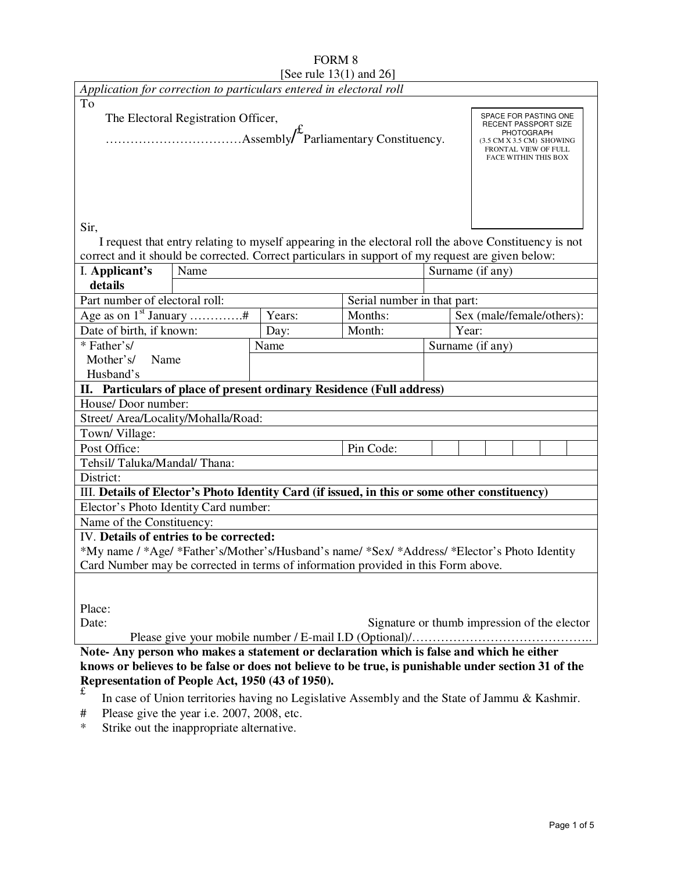|                                                                                                       |                                            | See rule $13(1)$ and $26$ |                             |                           |                                                                                  |  |
|-------------------------------------------------------------------------------------------------------|--------------------------------------------|---------------------------|-----------------------------|---------------------------|----------------------------------------------------------------------------------|--|
| Application for correction to particulars entered in electoral roll                                   |                                            |                           |                             |                           |                                                                                  |  |
| To                                                                                                    |                                            |                           |                             |                           |                                                                                  |  |
|                                                                                                       | The Electoral Registration Officer,        |                           |                             |                           | SPACE FOR PASTING ONE<br>RECENT PASSPORT SIZE<br><b>PHOTOGRAPH</b>               |  |
|                                                                                                       |                                            |                           |                             |                           | (3.5 CM X 3.5 CM) SHOWING<br>FRONTAL VIEW OF FULL<br><b>FACE WITHIN THIS BOX</b> |  |
|                                                                                                       |                                            |                           |                             |                           |                                                                                  |  |
|                                                                                                       |                                            |                           |                             |                           |                                                                                  |  |
| Sir,                                                                                                  |                                            |                           |                             |                           |                                                                                  |  |
| I request that entry relating to myself appearing in the electoral roll the above Constituency is not |                                            |                           |                             |                           |                                                                                  |  |
| correct and it should be corrected. Correct particulars in support of my request are given below:     |                                            |                           |                             |                           |                                                                                  |  |
| I. Applicant's<br>Name                                                                                |                                            |                           | Surname (if any)            |                           |                                                                                  |  |
| details                                                                                               |                                            |                           |                             |                           |                                                                                  |  |
|                                                                                                       |                                            |                           |                             |                           |                                                                                  |  |
| Part number of electoral roll:                                                                        |                                            |                           | Serial number in that part: |                           |                                                                                  |  |
| Age as on $1^{st}$ January #                                                                          |                                            | Years:                    | Months:                     |                           | Sex (male/female/others):                                                        |  |
|                                                                                                       | Date of birth, if known:<br>Day:           |                           | Month:                      | Year:<br>Surname (if any) |                                                                                  |  |
|                                                                                                       | * Father's/<br>Name                        |                           |                             |                           |                                                                                  |  |
| Mother's/<br>Name                                                                                     |                                            |                           |                             |                           |                                                                                  |  |
| Husband's                                                                                             |                                            |                           |                             |                           |                                                                                  |  |
| II. Particulars of place of present ordinary Residence (Full address)<br>House/Door number:           |                                            |                           |                             |                           |                                                                                  |  |
| Street/ Area/Locality/Mohalla/Road:                                                                   |                                            |                           |                             |                           |                                                                                  |  |
| Town/Village:                                                                                         |                                            |                           |                             |                           |                                                                                  |  |
| Post Office:                                                                                          |                                            |                           | Pin Code:                   |                           |                                                                                  |  |
| Tehsil/Taluka/Mandal/Thana:                                                                           |                                            |                           |                             |                           |                                                                                  |  |
| District:                                                                                             |                                            |                           |                             |                           |                                                                                  |  |
| III. Details of Elector's Photo Identity Card (if issued, in this or some other constituency)         |                                            |                           |                             |                           |                                                                                  |  |
| Elector's Photo Identity Card number:                                                                 |                                            |                           |                             |                           |                                                                                  |  |
| Name of the Constituency:                                                                             |                                            |                           |                             |                           |                                                                                  |  |
| IV. Details of entries to be corrected:                                                               |                                            |                           |                             |                           |                                                                                  |  |
| *My name / *Age/ *Father's/Mother's/Husband's name/ *Sex/ *Address/ *Elector's Photo Identity         |                                            |                           |                             |                           |                                                                                  |  |
| Card Number may be corrected in terms of information provided in this Form above.                     |                                            |                           |                             |                           |                                                                                  |  |
|                                                                                                       |                                            |                           |                             |                           |                                                                                  |  |
| Place:                                                                                                |                                            |                           |                             |                           |                                                                                  |  |
| Signature or thumb impression of the elector<br>Date:                                                 |                                            |                           |                             |                           |                                                                                  |  |
|                                                                                                       |                                            |                           |                             |                           |                                                                                  |  |
| Note- Any person who makes a statement or declaration which is false and which he either              |                                            |                           |                             |                           |                                                                                  |  |
| knows or believes to be false or does not believe to be true, is punishable under section 31 of the   |                                            |                           |                             |                           |                                                                                  |  |
| Representation of People Act, 1950 (43 of 1950).                                                      |                                            |                           |                             |                           |                                                                                  |  |
| £<br>In case of Union territories having no Legislative Assembly and the State of Jammu & Kashmir.    |                                            |                           |                             |                           |                                                                                  |  |
| #                                                                                                     | Please give the year i.e. 2007, 2008, etc. |                           |                             |                           |                                                                                  |  |
| $\ast$<br>Strike out the inappropriate alternative.                                                   |                                            |                           |                             |                           |                                                                                  |  |

# FORM 8 [See rule 13(1) and 26]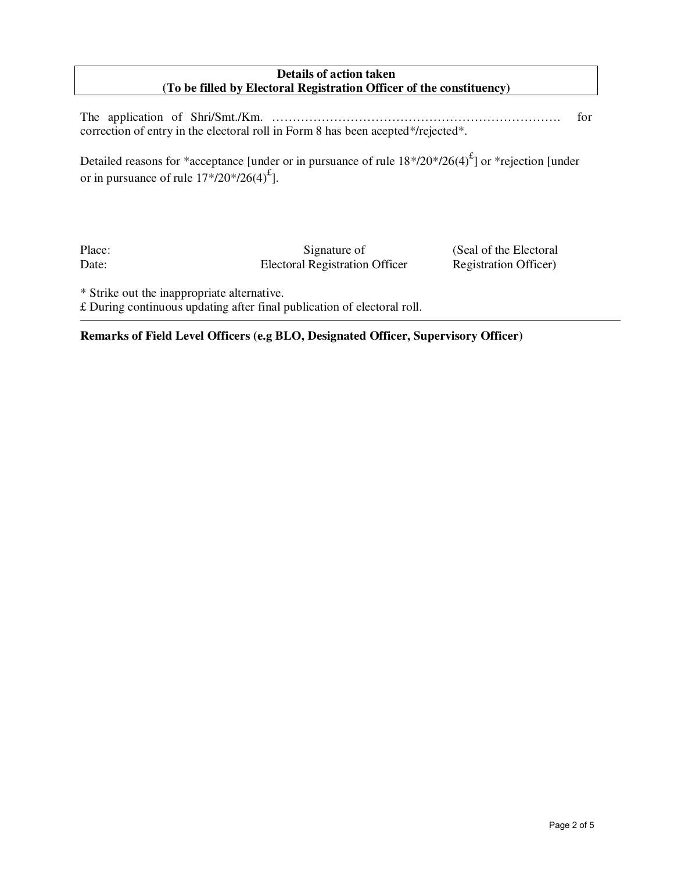# **Details of action taken (To be filled by Electoral Registration Officer of the constituency)**

The application of Shri/Smt./Km. ……………………………………………………………. for correction of entry in the electoral roll in Form 8 has been acepted\*/rejected\*.

Detailed reasons for \*acceptance [under or in pursuance of rule  $18*/20*/26(4)^{f}$ ] or \*rejection [under or in pursuance of rule  $17*/20*/26(4)^{\text{f}}$ ].

Place: Signature of (Seal of the Electoral Date: Electoral Registration Officer Registration Officer

\* Strike out the inappropriate alternative.

£ During continuous updating after final publication of electoral roll.

## **Remarks of Field Level Officers (e.g BLO, Designated Officer, Supervisory Officer)**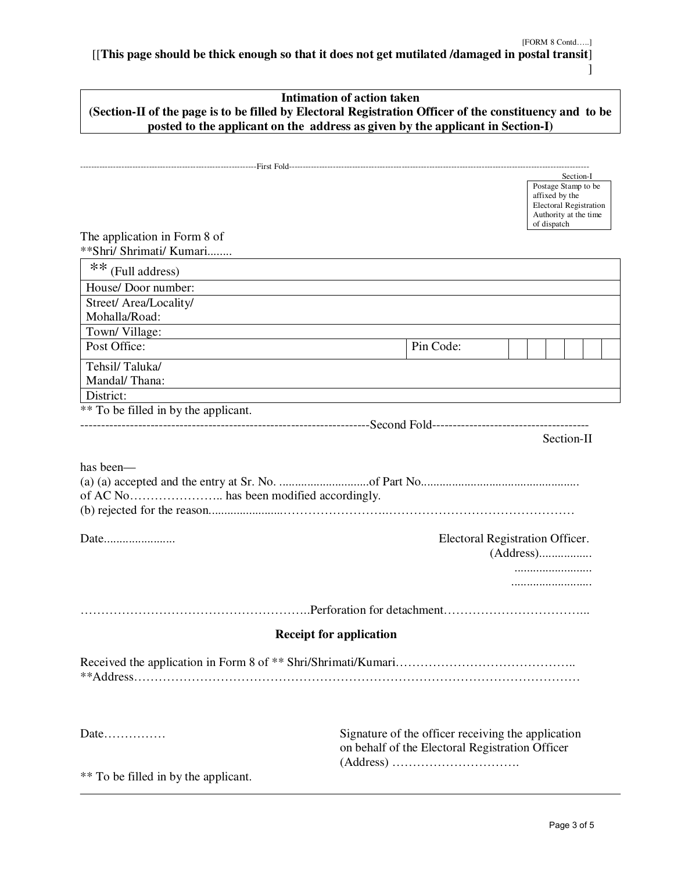[[**This page should be thick enough so that it does not get mutilated /damaged in postal transit**] ]

|                                                          | <b>Intimation of action taken</b>                                                                                                                                                         |  |  |  |
|----------------------------------------------------------|-------------------------------------------------------------------------------------------------------------------------------------------------------------------------------------------|--|--|--|
|                                                          | (Section-II of the page is to be filled by Electoral Registration Officer of the constituency and to be<br>posted to the applicant on the address as given by the applicant in Section-I) |  |  |  |
|                                                          |                                                                                                                                                                                           |  |  |  |
|                                                          |                                                                                                                                                                                           |  |  |  |
|                                                          | Section-I<br>Postage Stamp to be<br>affixed by the<br><b>Electoral Registration</b><br>Authority at the time<br>of dispatch                                                               |  |  |  |
| The application in Form 8 of<br>**Shri/ Shrimati/ Kumari |                                                                                                                                                                                           |  |  |  |
| ** (Full address)                                        |                                                                                                                                                                                           |  |  |  |
| House/ Door number:                                      |                                                                                                                                                                                           |  |  |  |
| Street/ Area/Locality/<br>Mohalla/Road:                  |                                                                                                                                                                                           |  |  |  |
| Town/Village:                                            |                                                                                                                                                                                           |  |  |  |
| Post Office:                                             | Pin Code:                                                                                                                                                                                 |  |  |  |
| Tehsil/Taluka/<br>Mandal/Thana:                          |                                                                                                                                                                                           |  |  |  |
| District:                                                |                                                                                                                                                                                           |  |  |  |
| ** To be filled in by the applicant.                     |                                                                                                                                                                                           |  |  |  |
|                                                          | Section-II                                                                                                                                                                                |  |  |  |
| has been—                                                |                                                                                                                                                                                           |  |  |  |
| Date                                                     | Electoral Registration Officer.                                                                                                                                                           |  |  |  |
|                                                          |                                                                                                                                                                                           |  |  |  |
|                                                          |                                                                                                                                                                                           |  |  |  |
|                                                          |                                                                                                                                                                                           |  |  |  |
|                                                          | <b>Receipt for application</b>                                                                                                                                                            |  |  |  |
|                                                          |                                                                                                                                                                                           |  |  |  |
| Date                                                     | Signature of the officer receiving the application<br>on behalf of the Electoral Registration Officer                                                                                     |  |  |  |
| ** To be filled in by the applicant.                     |                                                                                                                                                                                           |  |  |  |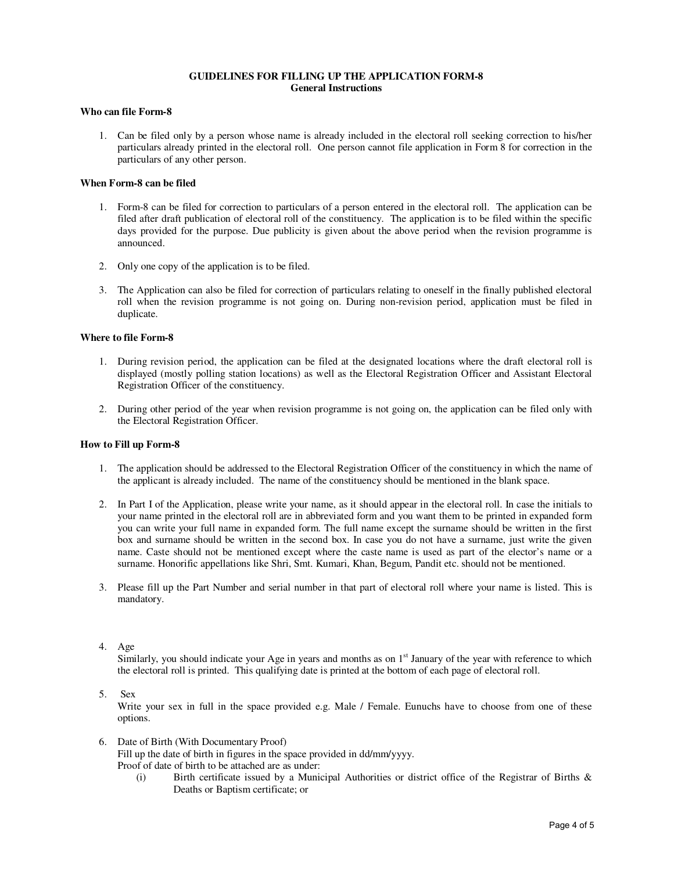## **GUIDELINES FOR FILLING UP THE APPLICATION FORM-8 General Instructions**

## **Who can file Form-8**

1. Can be filed only by a person whose name is already included in the electoral roll seeking correction to his/her particulars already printed in the electoral roll. One person cannot file application in Form 8 for correction in the particulars of any other person.

### **When Form-8 can be filed**

- 1. Form-8 can be filed for correction to particulars of a person entered in the electoral roll. The application can be filed after draft publication of electoral roll of the constituency. The application is to be filed within the specific days provided for the purpose. Due publicity is given about the above period when the revision programme is announced.
- 2. Only one copy of the application is to be filed.
- 3. The Application can also be filed for correction of particulars relating to oneself in the finally published electoral roll when the revision programme is not going on. During non-revision period, application must be filed in duplicate.

### **Where to file Form-8**

- 1. During revision period, the application can be filed at the designated locations where the draft electoral roll is displayed (mostly polling station locations) as well as the Electoral Registration Officer and Assistant Electoral Registration Officer of the constituency.
- 2. During other period of the year when revision programme is not going on, the application can be filed only with the Electoral Registration Officer.

#### **How to Fill up Form-8**

- 1. The application should be addressed to the Electoral Registration Officer of the constituency in which the name of the applicant is already included. The name of the constituency should be mentioned in the blank space.
- 2. In Part I of the Application, please write your name, as it should appear in the electoral roll. In case the initials to your name printed in the electoral roll are in abbreviated form and you want them to be printed in expanded form you can write your full name in expanded form. The full name except the surname should be written in the first box and surname should be written in the second box. In case you do not have a surname, just write the given name. Caste should not be mentioned except where the caste name is used as part of the elector's name or a surname. Honorific appellations like Shri, Smt. Kumari, Khan, Begum, Pandit etc. should not be mentioned.
- 3. Please fill up the Part Number and serial number in that part of electoral roll where your name is listed. This is mandatory.

#### 4. Age

Similarly, you should indicate your Age in years and months as on  $1<sup>st</sup>$  January of the year with reference to which the electoral roll is printed. This qualifying date is printed at the bottom of each page of electoral roll.

5. Sex

Write your sex in full in the space provided e.g. Male / Female. Eunuchs have to choose from one of these options.

- 6. Date of Birth (With Documentary Proof) Fill up the date of birth in figures in the space provided in dd/mm/yyyy. Proof of date of birth to be attached are as under:
	- (i) Birth certificate issued by a Municipal Authorities or district office of the Registrar of Births & Deaths or Baptism certificate; or